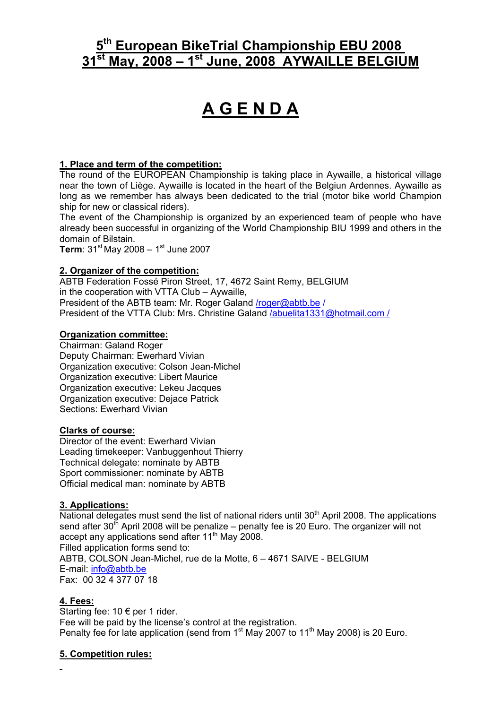# **5th European BikeTrial Championship EBU 2008 31st May, 2008 – 1st June, 2008 AYWAILLE BELGIUM**

# **A G E N D A**

## **1. Place and term of the competition:**

The round of the EUROPEAN Championship is taking place in Aywaille, a historical village near the town of Liège. Aywaille is located in the heart of the Belgiun Ardennes. Aywaille as long as we remember has always been dedicated to the trial (motor bike world Champion ship for new or classical riders).

The event of the Championship is organized by an experienced team of people who have already been successful in organizing of the World Championship BIU 1999 and others in the domain of Bilstain.

**Term**:  $31^{st}$  May 2008 –  $1^{st}$  June 2007

### **2. Organizer of the competition:**

ABTB Federation Fossé Piron Street, 17, 4672 Saint Remy, BELGIUM in the cooperation with VTTA Club – Aywaille, President of the ABTB team: Mr. Roger Galand /roger@abtb.be / President of the VTTA Club: Mrs. Christine Galand /abuelita1331@hotmail.com /

#### **Organization committee:**

Chairman: Galand Roger Deputy Chairman: Ewerhard Vivian Organization executive: Colson Jean-Michel Organization executive: Libert Maurice Organization executive: Lekeu Jacques Organization executive: Dejace Patrick Sections: Ewerhard Vivian

#### **Clarks of course:**

Director of the event: Ewerhard Vivian Leading timekeeper: Vanbuggenhout Thierry Technical delegate: nominate by ABTB Sport commissioner: nominate by ABTB Official medical man: nominate by ABTB

# **3. Applications:**

National delegates must send the list of national riders until  $30<sup>th</sup>$  April 2008. The applications send after 30<sup>th</sup> April 2008 will be penalize – penalty fee is 20 Euro. The organizer will not accept any applications send after 11<sup>th</sup> May 2008. Filled application forms send to: ABTB, COLSON Jean-Michel, rue de la Motte, 6 – 4671 SAIVE - BELGIUM E-mail: info@abtb.be Fax: 00 32 4 377 07 18

#### **4. Fees:**

Starting fee: 10 € per 1 rider. Fee will be paid by the license's control at the registration. Penalty fee for late application (send from  $1<sup>st</sup>$  May 2007 to  $11<sup>th</sup>$  May 2008) is 20 Euro.

# **5. Competition rules:**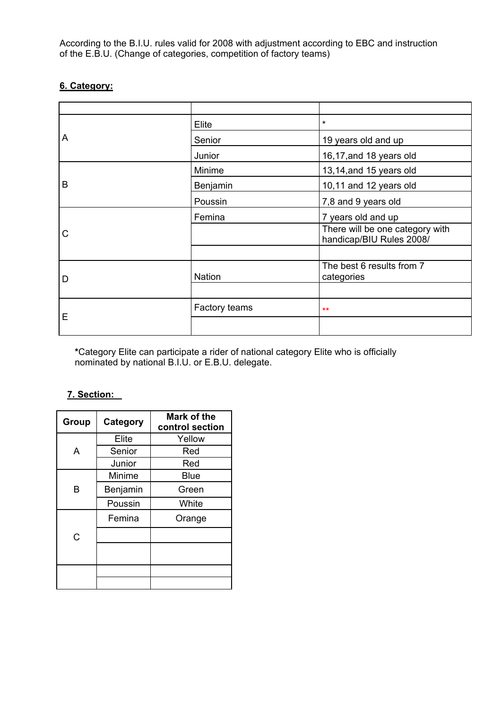According to the B.I.U. rules valid for 2008 with adjustment according to EBC and instruction of the E.B.U. (Change of categories, competition of factory teams)

# **6. Category:**

| A | Elite         | $\star$                                                     |  |
|---|---------------|-------------------------------------------------------------|--|
|   | Senior        | 19 years old and up                                         |  |
|   | Junior        | 16,17, and 18 years old                                     |  |
| B | Minime        | 13,14, and 15 years old                                     |  |
|   | Benjamin      | 10,11 and 12 years old                                      |  |
|   | Poussin       | 7,8 and 9 years old                                         |  |
| C | Femina        | 7 years old and up                                          |  |
|   |               | There will be one category with<br>handicap/BIU Rules 2008/ |  |
|   |               |                                                             |  |
| D | <b>Nation</b> | The best 6 results from 7<br>categories                     |  |
|   |               |                                                             |  |
| E | Factory teams | $**$                                                        |  |
|   |               |                                                             |  |

**\***Category Elite can participate a rider of national category Elite who is officially nominated by national B.I.U. or E.B.U. delegate.

# **7. Section:**

| Group | Category | <b>Mark of the</b><br>control section |
|-------|----------|---------------------------------------|
| A     | Elite    | Yellow                                |
|       | Senior   | Red                                   |
|       | Junior   | Red                                   |
| B     | Minime   | <b>Blue</b>                           |
|       | Benjamin | Green                                 |
|       | Poussin  | White                                 |
| C     | Femina   | Orange                                |
|       |          |                                       |
|       |          |                                       |
|       |          |                                       |
|       |          |                                       |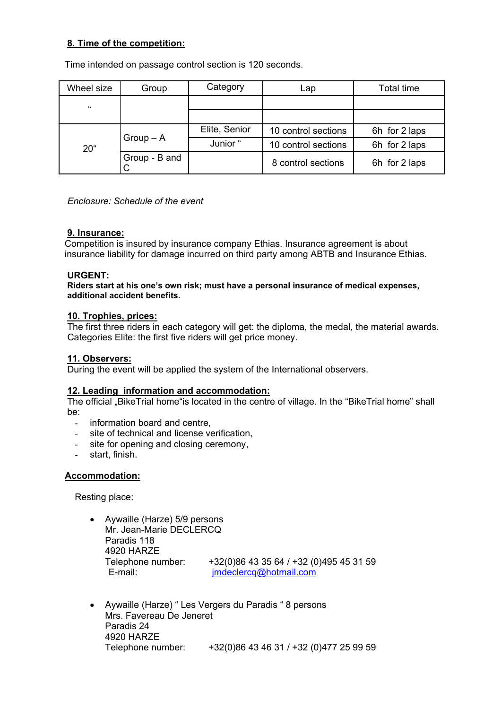## **8. Time of the competition:**

Time intended on passage control section is 120 seconds.

| Wheel size           | Group         | Category      | Lap                 | <b>Total time</b> |
|----------------------|---------------|---------------|---------------------|-------------------|
| $\pmb{\mathfrak{c}}$ |               |               |                     |                   |
|                      |               |               |                     |                   |
| $20^{\circ}$         | $Group - A$   | Elite, Senior | 10 control sections | 6h for 2 laps     |
|                      |               | Junior "      | 10 control sections | 6h for 2 laps     |
|                      | Group - B and |               | 8 control sections  | 6h for 2 laps     |

*Enclosure: Schedule of the event* 

#### **9. Insurance:**

Competition is insured by insurance company Ethias. Insurance agreement is about insurance liability for damage incurred on third party among ABTB and Insurance Ethias.

#### **URGENT:**

**Riders start at his one's own risk; must have a personal insurance of medical expenses, additional accident benefits.** 

#### **10. Trophies, prices:**

The first three riders in each category will get: the diploma, the medal, the material awards. Categories Elite: the first five riders will get price money.

#### **11. Observers:**

During the event will be applied the system of the International observers.

#### **12. Leading information and accommodation:**

The official "BikeTrial home"is located in the centre of village. In the "BikeTrial home" shall be:

- information board and centre,
- site of technical and license verification,
- site for opening and closing ceremony,
- start, finish.

#### **Accommodation:**

Resting place:

- Aywaille (Harze) 5/9 persons Mr. Jean-Marie DECLERCQ Paradis 118 4920 HARZE Telephone number: +32(0)86 43 35 64 / +32 (0)495 45 31 59 E-mail: imdeclercq@hotmail.com
- Aywaille (Harze) " Les Vergers du Paradis " 8 persons Mrs. Favereau De Jeneret Paradis 24 4920 HARZE Telephone number: +32(0)86 43 46 31 / +32 (0)477 25 99 59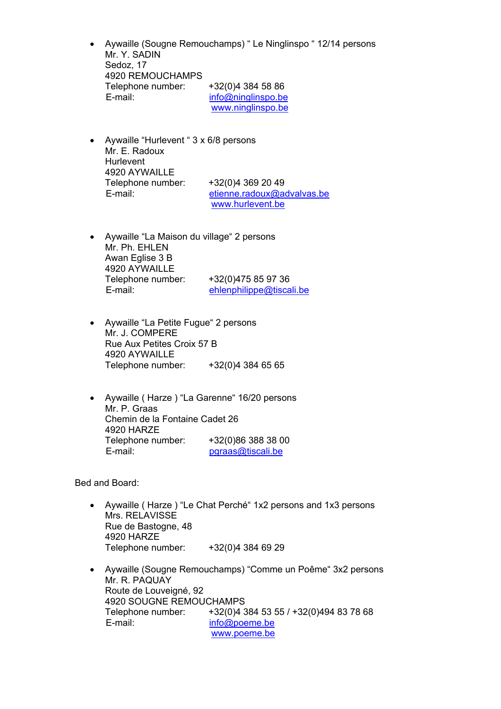- Aywaille (Sougne Remouchamps) " Le Ninglinspo " 12/14 persons Mr. Y. SADIN Sedoz, 17 4920 REMOUCHAMPS Telephone number: +32(0)4 384 58 86 E-mail: info@ninglinspo.be www.ninglinspo.be
- Aywaille "Hurlevent " 3 x 6/8 persons Mr. E. Radoux Hurlevent 4920 AYWAILLE Telephone number: +32(0)4 369 20 49 E-mail: etienne.radoux@advalvas.be www.hurlevent.be
- Aywaille "La Maison du village" 2 persons Mr. Ph. EHLEN Awan Eglise 3 B 4920 AYWAILLE Telephone number: +32(0)475 85 97 36 E-mail: ehlenphilippe@tiscali.be
- Aywaille "La Petite Fugue" 2 persons Mr. J. COMPERE Rue Aux Petites Croix 57 B 4920 AYWAILLE Telephone number: +32(0)4 384 65 65
- Aywaille ( Harze ) "La Garenne" 16/20 persons Mr. P. Graas Chemin de la Fontaine Cadet 26 4920 HARZE Telephone number: +32(0)86 388 38 00 E-mail: pgraas@tiscali.be

Bed and Board:

- Aywaille ( Harze ) "Le Chat Perché" 1x2 persons and 1x3 persons Mrs. RELAVISSE Rue de Bastogne, 48 4920 HARZE Telephone number: +32(0)4 384 69 29
- Aywaille (Sougne Remouchamps) "Comme un Poême" 3x2 persons Mr. R. PAQUAY Route de Louveigné, 92 4920 SOUGNE REMOUCHAMPS Telephone number: +32(0)4 384 53 55 / +32(0)494 83 78 68 E-mail: info@poeme.be www.poeme.be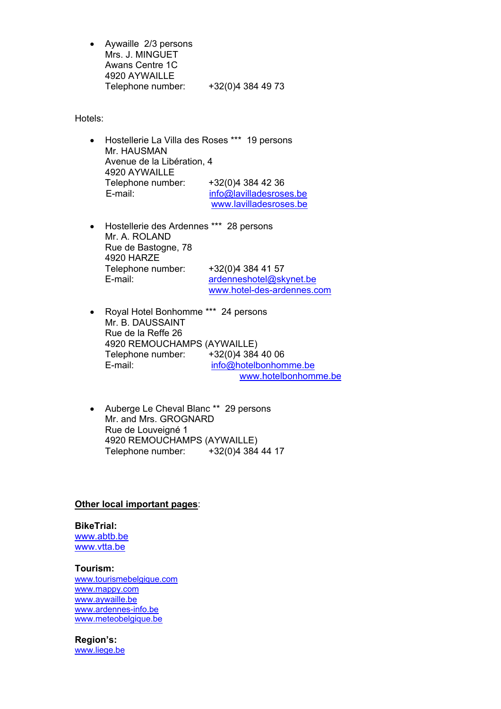• Aywaille 2/3 persons Mrs. J. MINGUET Awans Centre 1C 4920 AYWAILLE Telephone number: +32(0)4 384 49 73

Hotels:

- Hostellerie La Villa des Roses \*\*\* 19 persons Mr. HAUSMAN Avenue de la Libération, 4 4920 AYWAILLE Telephone number: +32(0)4 384 42 36 E-mail: info@lavilladesroses.be www.lavilladesroses.be
- Hostellerie des Ardennes \*\*\* 28 persons Mr. A. ROLAND Rue de Bastogne, 78 4920 HARZE Telephone number: +32(0)4 384 41 57 E-mail: ardenneshotel@skynet.be www.hotel-des-ardennes.com
- Royal Hotel Bonhomme \*\*\* 24 persons Mr. B. DAUSSAINT Rue de la Reffe 26 4920 REMOUCHAMPS (AYWAILLE) Telephone number: +32(0)4 384 40 06 E-mail: info@hotelbonhomme.be www.hotelbonhomme.be
- Auberge Le Cheval Blanc \*\* 29 persons Mr. and Mrs. GROGNARD Rue de Louveigné 1 4920 REMOUCHAMPS (AYWAILLE) Telephone number: +32(0)4 384 44 17

#### **Other local important pages**:

**BikeTrial:**  www.abtb.be www.vtta.be

**Tourism:**  www.tourismebelgique.com www.mappy.com www.aywaille.be www.ardennes-info.be www.meteobelgique.be

**Region's:**  www.liege.be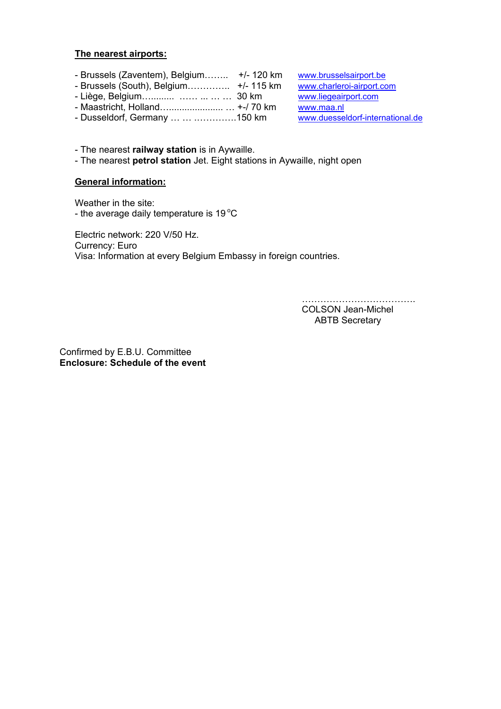#### **The nearest airports:**

- Brussels (Zaventem), Belgium…….. +/- 120 km www.brusselsairport.be
- Brussels (South), Belgium………….. +/- 115 km www.charleroi-airport.com
- Liège, Belgium…......... …… ... … … 30 km www.liegeairport.com
- Maastricht, Holland…..................... … +-/ 70 km www.maa.nl
- Dusseldorf, Germany … … .………….150 km www.duesseldorf-international.de

- The nearest **railway station** is in Aywaille.

- The nearest **petrol station** Jet. Eight stations in Aywaille, night open

#### **General information:**

Weather in the site: - the average daily temperature is  $19^{\circ}$ C

Electric network: 220 V/50 Hz. Currency: Euro Visa: Information at every Belgium Embassy in foreign countries.

> ………………………………………… COLSON Jean-Michel ABTB Secretary

Confirmed by E.B.U. Committee **Enclosure: Schedule of the event**